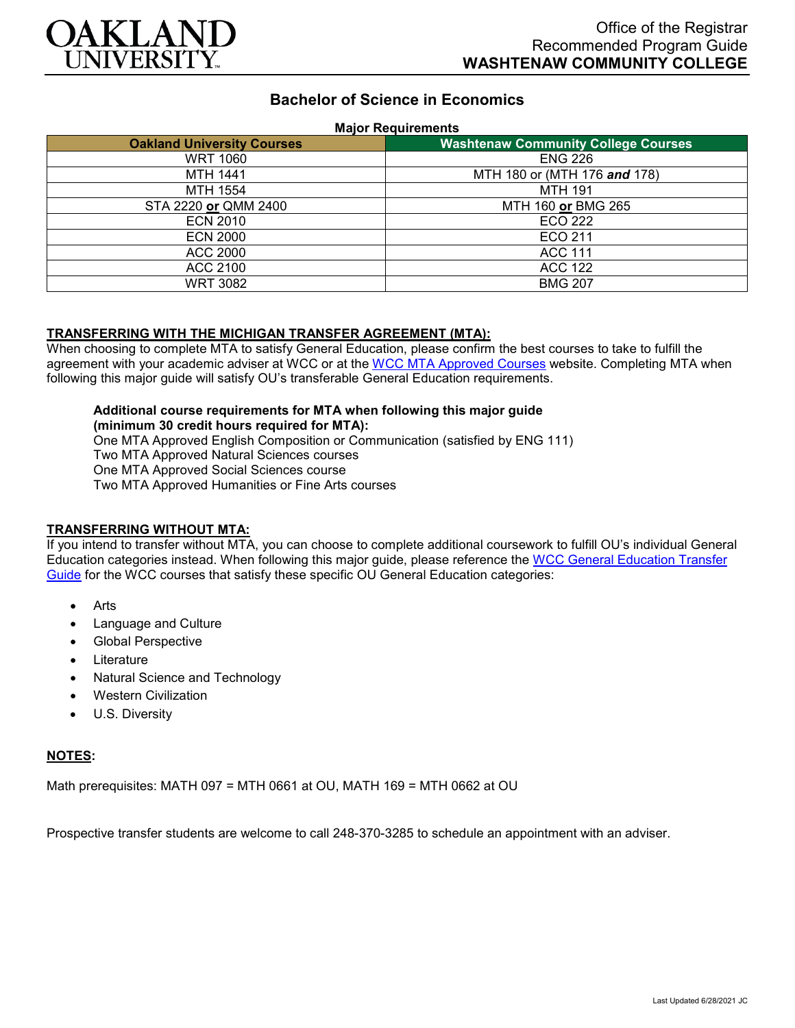

# **Bachelor of Science in Economics**

#### **Major Requirements**

| <b>Oakland University Courses</b> | <b>Washtenaw Community College Courses</b> |
|-----------------------------------|--------------------------------------------|
| <b>WRT 1060</b>                   | <b>ENG 226</b>                             |
| <b>MTH 1441</b>                   | MTH 180 or (MTH 176 and 178)               |
| MTH 1554                          | <b>MTH 191</b>                             |
| STA 2220 or QMM 2400              | MTH 160 or BMG 265                         |
| <b>ECN 2010</b>                   | <b>ECO 222</b>                             |
| <b>ECN 2000</b>                   | ECO 211                                    |
| ACC 2000                          | <b>ACC 111</b>                             |
| ACC 2100                          | <b>ACC 122</b>                             |
| <b>WRT 3082</b>                   | <b>BMG 207</b>                             |

### **TRANSFERRING WITH THE MICHIGAN TRANSFER AGREEMENT (MTA):**

When choosing to complete MTA to satisfy General Education, please confirm the best courses to take to fulfill the agreement with your academic adviser at WCC or at the [WCC MTA Approved Courses](http://www.wccnet.edu/services/transferresources/mta/) website. Completing MTA when following this major guide will satisfy OU's transferable General Education requirements.

#### **Additional course requirements for MTA when following this major guide (minimum 30 credit hours required for MTA):**

One MTA Approved English Composition or Communication (satisfied by ENG 111) Two MTA Approved Natural Sciences courses One MTA Approved Social Sciences course Two MTA Approved Humanities or Fine Arts courses

# **TRANSFERRING WITHOUT MTA:**

If you intend to transfer without MTA, you can choose to complete additional coursework to fulfill OU's individual General Education categories instead. When following this major guide, please reference the [WCC General Education Transfer](https://www.oakland.edu/Assets/Oakland/program-guides/washtenaw-community-college/university-general-education-requirements/Washtenaw%20Gen%20Ed.pdf)  [Guide](https://www.oakland.edu/Assets/Oakland/program-guides/washtenaw-community-college/university-general-education-requirements/Washtenaw%20Gen%20Ed.pdf) for the WCC courses that satisfy these specific OU General Education categories:

- Arts
- Language and Culture
- Global Perspective
- **Literature**
- Natural Science and Technology
- Western Civilization
- U.S. Diversity

### **NOTES:**

Math prerequisites: MATH 097 = MTH 0661 at OU, MATH 169 = MTH 0662 at OU

Prospective transfer students are welcome to call 248-370-3285 to schedule an appointment with an adviser.